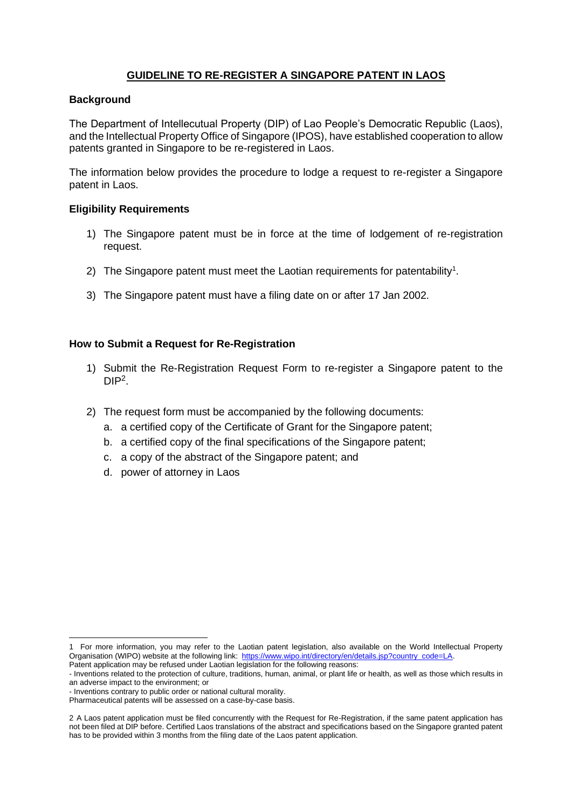# **GUIDELINE TO RE-REGISTER A SINGAPORE PATENT IN LAOS**

#### **Background**

The Department of Intellecutual Property (DIP) of Lao People's Democratic Republic (Laos), and the Intellectual Property Office of Singapore (IPOS), have established cooperation to allow patents granted in Singapore to be re-registered in Laos.

The information below provides the procedure to lodge a request to re-register a Singapore patent in Laos.

#### **Eligibility Requirements**

- 1) The Singapore patent must be in force at the time of lodgement of re-registration request.
- 2) The Singapore patent must meet the Laotian requirements for patentability<sup>1</sup>.
- 3) The Singapore patent must have a filing date on or after 17 Jan 2002.

#### **How to Submit a Request for Re-Registration**

- 1) Submit the Re-Registration Request Form to re-register a Singapore patent to the  $DIP<sup>2</sup>$ .
- 2) The request form must be accompanied by the following documents:
	- a. a certified copy of the Certificate of Grant for the Singapore patent;
	- b. a certified copy of the final specifications of the Singapore patent;
	- c. a copy of the abstract of the Singapore patent; and
	- d. power of attorney in Laos

<sup>1</sup> For more information, you may refer to the Laotian patent legislation, also available on the World Intellectual Property Organisation (WIPO) website at the following link: [https://www.wipo.int/directory/en/details.jsp?country\\_code=LA.](https://www.wipo.int/directory/en/details.jsp?country_code=LA)

Patent application may be refused under Laotian legislation for the following reasons:

<sup>-</sup> Inventions related to the protection of culture, traditions, human, animal, or plant life or health, as well as those which results in an adverse impact to the environment; or

<sup>-</sup> Inventions contrary to public order or national cultural morality.

Pharmaceutical patents will be assessed on a case-by-case basis.

<sup>2</sup> A Laos patent application must be filed concurrently with the Request for Re-Registration, if the same patent application has not been filed at DIP before. Certified Laos translations of the abstract and specifications based on the Singapore granted patent has to be provided within 3 months from the filing date of the Laos patent application.